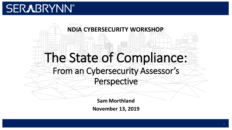# **SER丸BRYNN®**

# The State of Compliance: From an Cybersecurity Assessor's

**NDIA CYBERSECURITY WORKSHOP**

## Perspective

**Sam Morthland November 13, 2019**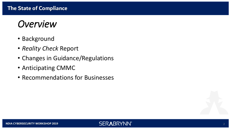## *Overview*

- Background
- *Reality Check* Report
- Changes in Guidance/Regulations
- Anticipating CMMC
- Recommendations for Businesses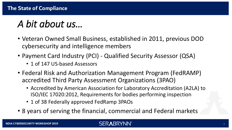# *A bit about us…*

- Veteran Owned Small Business, established in 2011, previous DOD cybersecurity and intelligence members
- Payment Card Industry (PCI) Qualified Security Assessor (QSA)
	- 1 of 147 US-based Assessors
- Federal Risk and Authorization Management Program (FedRAMP) accredited Third Party Assessment Organizations (3PAO)
	- Accredited by American Association for Laboratory Accreditation (A2LA) to ISO/IEC 17020:2012, Requirements for bodies performing inspection
	- 1 of 38 Federally approved FedRamp 3PAOs
- 8 years of serving the financial, commercial and Federal markets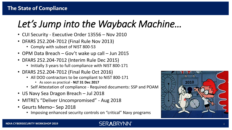# *Let's Jump into the Wayback Machine…*

- CUI Security Executive Order 13556 Nov 2010
- DFARS 252.204-7012 (Final Rule Nov 2013)
	- Comply with subset of NIST 800-53
- OPM Data Breach Gov't wake up call Jun 2015
- DFARS 252.204-7012 (Interim Rule Dec 2015)
	- Initially 3 years to full compliance with NIST 800-171
- DFARS 252.204-7012 (Final Rule Oct 2016)
	- All DOD contractors to be compliant to NIST 800-171
		- As soon as practical **NLT 31 Dec 2017**
	- Self Attestation of compliance Required documents: SSP and POAM
- US Navy Sea Dragon Breach Jul 2018
- MITRE's "Deliver Uncompromised" Aug 2018
- Geurts Memo– Sep 2018
	- Imposing enhanced security controls on "critical" Navy programs

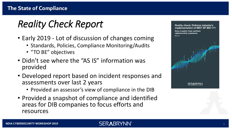# *Reality Check Report*

- Early 2019 Lot of discussion of changes coming
	- Standards, Policies, Compliance Monitoring/Audits
	- "TO BE" objectives
- Didn't see where the "AS IS" information was provided
- Developed report based on incident responses and assessments over last 2 years
	- Provided an assessor's view of compliance in the DIB
- Provided a snapshot of compliance and identified areas for DIB companies to focus efforts and resources



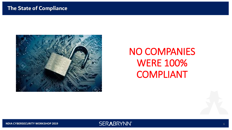

# NO COMPANIES WERE 100% COMPLIANT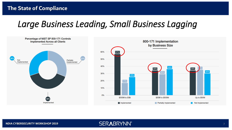## *Large Business Leading, Small Business Lagging*

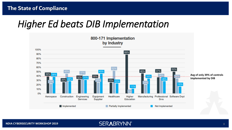## *Higher Ed beats DIB Implementation*

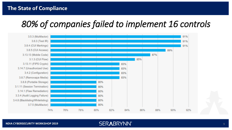## *80% of companies failed to implement 16 controls*



#### **NDIA CYBERSECURITY WORKSHOP 2019**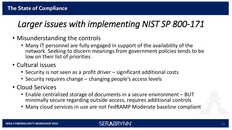## *Larger issues with implementing NIST SP 800-171*

- Misunderstanding the controls
	- Many IT personnel are fully engaged in support of the availability of the network. Seeking to discern meanings from government policies tends to be low on their list of priorities
- Cultural issues
	- Security is not seen as a profit driver significant additional costs
	- Security requires change changing people's access levels
- Cloud Services
	- Enable centralized storage of documents in a secure environment BUT minimally secure regarding outside access, requires additional controls
	- Many cloud services in use are not FedRAMP Moderate baseline compliant

## **SERXBRYNN®**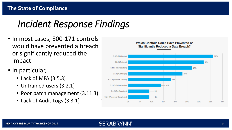# *Incident Response Findings*

- In most cases, 800-171 controls would have prevented a breach or significantly reduced the impact
- In particular,
	- Lack of MFA (3.5.3)
	- Untrained users (3.2.1)
	- Poor patch management (3.11.3)
	- Lack of Audit Logs (3.3.1)

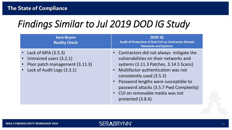# *Findings Similar to Jul 2019 DOD IG Study*

| <b>Sera-Brynn</b><br><b>Reality Check</b>                                                                                | <b>DOD IG</b><br><b>Audit of Protection of DoD CUI on Contractor-Owned</b><br><b>Networks and Systems</b>                                                                                                                                                                                                                                     |
|--------------------------------------------------------------------------------------------------------------------------|-----------------------------------------------------------------------------------------------------------------------------------------------------------------------------------------------------------------------------------------------------------------------------------------------------------------------------------------------|
| • Lack of MFA $(3.5.3)$<br>• Untrained users (3.2.1)<br>• Poor patch management (3.11.3)<br>• Lack of Audit Logs (3.3.1) | • Contractors did not always mitigate the<br>vulnerabilities on their networks and<br>systems (3.11.3 Patches, 3.14.5 Scans)<br>Multifactor authentication was not<br>consistently used (3.5.3)<br>Password lengths were susceptible to<br>password attacks (3.5.7 Pwd Complexity)<br>• CUI on removable media was not<br>protected $(3.8.6)$ |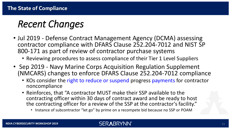# *Recent Changes*

- Jul 2019 Defense Contract Management Agency (DCMA) assessing contractor compliance with DFARS Clause 252.204-7012 and NIST SP 800-171 as part of review of contractor purchase systems
	- Reviewing procedures to assess compliance of their Tier 1 Level Suppliers
- Sep 2019 Navy Marine Corps Acquisition Regulation Supplement (NMCARS) changes to enforce DFARS Clause 252.204-7012 compliance
	- KOs consider the right to reduce or suspend progress payments for contractor noncompliance
	- Reinforces, that "A contractor MUST make their SSP available to the contracting officer within 30 days of contract award and be ready to host the contracting officer for a review of the SSP at the contractor's facility."
		- Instance of subcontractor "let go" by prime on a recompete bid because no SSP or POAM

## **SERXBRYNN**®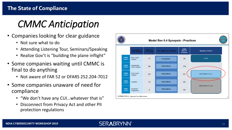# *CMMC Anticipation*

- Companies looking for clear guidance
	- Not sure what to do
	- Attending Listening Tour, Seminars/Speaking
	- Realize Gov't is "building the plane inflight"
- Some companies waiting until CMMC is final to do anything
	- Not aware of FAR 52 or DFARS 252.204-7012
- Some companies unaware of need for compliance
	- "We don't have any CUI…whatever that is"
	- Disconnect from Privacy Act and other PII protection regulations

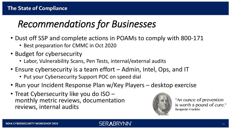# *Recommendations for Businesses*

- Dust off SSP and complete actions in POAMs to comply with 800-171
	- Best preparation for CMMC in Oct 2020
- Budget for cybersecurity
	- Labor, Vulnerability Scans, Pen Tests, internal/external audits
- Ensure cybersecurity is a team effort Admin, Intel, Ops, and IT
	- Put your Cybersecurity Support POC on speed dial
- Run your Incident Response Plan w/Key Players desktop exercise
- Treat Cybersecurity like you do ISO monthly metric reviews, documentation reviews, internal audits



"An ounce of prevention" is worth a pound of cure." Benjamin Franklin

## **SER & BRYNN**®